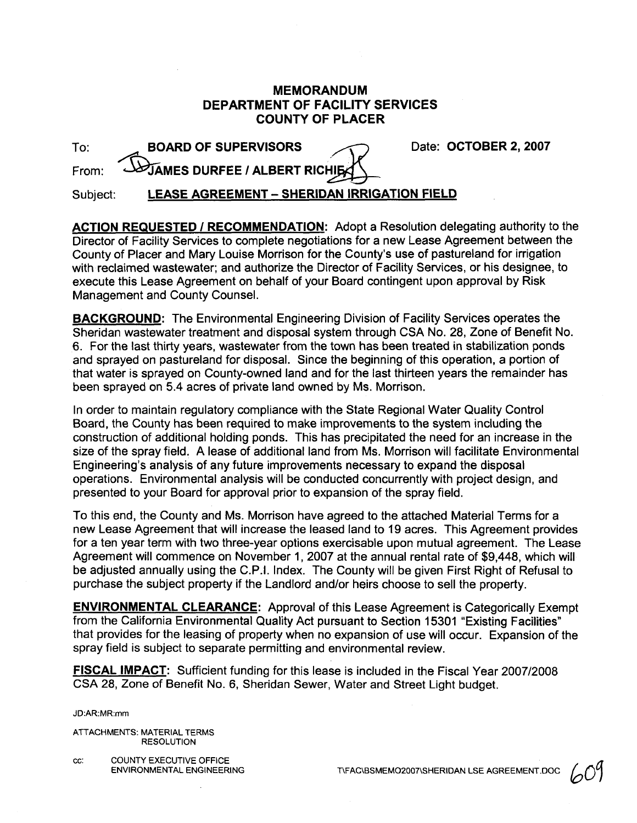## **MEMORANDUM DEPARTMENT OF FACILITY SERVICES COUNTY OF PLACER**

| To:      | <b>BOARD OF SUPERVISORS</b>                        | Date: OCTOBER 2, 2007 |
|----------|----------------------------------------------------|-----------------------|
|          | From: <b>DJAMES DURFEE / ALBERT RICHIES</b>        |                       |
| Subject: | <b>LEASE AGREEMENT - SHERIDAN IRRIGATION FIELD</b> |                       |

**ACTION REQUESTED / RECOMMENDATION:** Adopt a Resolution delegating authority to the Director of Facility Services to complete negotiations for a new Lease Agreement between the County of Placer and Mary Louise Morrison for the County's use of pastureland for irrigation with reclaimed wastewater; and authorize the Director of Facility Services, or his designee, to execute this Lease Agreement on behalf of your Board contingent upon approval by Risk Management and County Counsel.

**BACKGROUND:** The Environmental Engineering Division of Facility Services operates the Sheridan wastewater treatment and disposal system through CSA No. 28, Zone of Benefit No. 6. For the last thirty years, wastewater from the town has been treated in stabilization ponds and sprayed on pastureland for disposal. Since the beginning of this operation, a portion of that water is sprayed on County-owned land and for the last thirteen years the remainder has been sprayed on 5.4 acres of private land owned by Ms. Morrison.

In order to maintain regulatory compliance with the State Regional Water Quality Control Board, the County has been required to make improvements to the system including the construction of additional holding ponds. This has precipitated the need for an increase in the size of the spray field. A lease of additional land from Ms. Morrison will facilitate Environmental Engineering's analysis of any future improvements necessary to expand the disposal operations. Environmental analysis will be conducted concurrently with project design, and presented to your Board for approval prior to expansion of the spray field.

To this end, the County and Ms. Morrison have agreed to the attached Material Terms for a new Lease Agreement that will increase the leased land to 19 acres. This Agreement provides For a ten year term with two three-year options exercisable upon mutual agreement. The Lease Agreement will commence on November 1, 2007 at the annual rental rate of \$9,448, which will be adjusted annually using the C.P.I. Index. The County will be given First Right of Refusal to purchase the subject property if the Landlord and/or heirs choose to sell the property.

**ENVIRONMENTAL CLEARANCE:** Approval of this Lease Agreement is Categorically Exempt from the California Environmental Quality Act pursuant to Section 15301 "Existing Facilities" that provides for the leasing of property when no expansion of use will occur. Expansion of the spray field is subject to separate permitting and environmental review.

**FISCAL IMPACT:** Sufficient funding for this lease is included in the Fiscal Year 2007/2008 CSA 28, Zone of Benefit No. 6, Sheridan Sewer, Water and Street Light budget.

JD:AR:MR:mm

ATTACHMENTS: MATERIAL TERMS **RESOLUTION** 

cc: COUNTY EXECUTIVE OFFICE<br>ENVIRONMENTAL ENGINEERING

T\FAC\BSMEMO2007\SHERIDAN LSE AGREEMENT.DOC (AOY

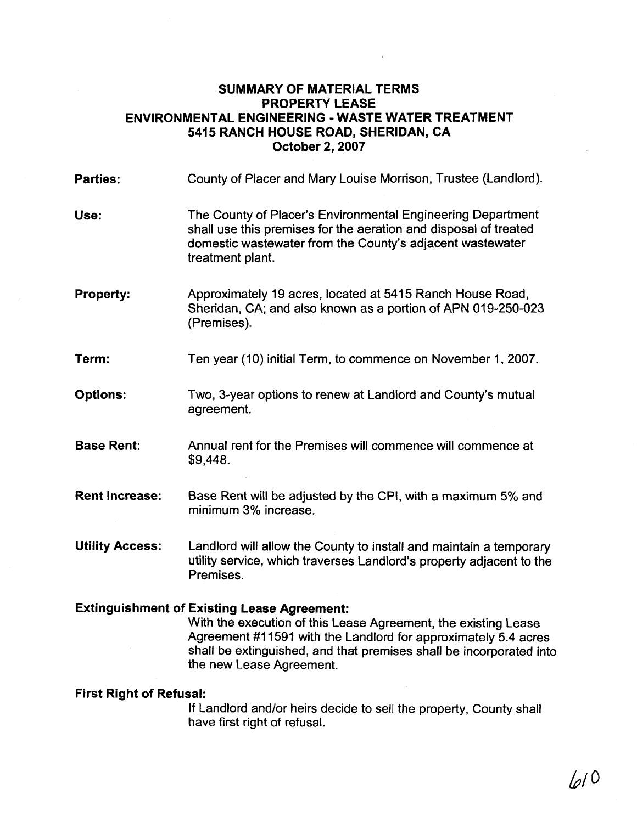## **SUMMARY OF MATERIAL TERMS PROPERTY LEASE ENVIRONMENTAL ENGINEERING** - **WASTE WATER TREATMENT 5415 RANCH HOUSE ROAD, SHERIDAN, CA October 2,2007**

| <b>Parties:</b>        | County of Placer and Mary Louise Morrison, Trustee (Landlord).                                                                                                                                                   |
|------------------------|------------------------------------------------------------------------------------------------------------------------------------------------------------------------------------------------------------------|
| Use:                   | The County of Placer's Environmental Engineering Department<br>shall use this premises for the aeration and disposal of treated<br>domestic wastewater from the County's adjacent wastewater<br>treatment plant. |
| <b>Property:</b>       | Approximately 19 acres, located at 5415 Ranch House Road,<br>Sheridan, CA; and also known as a portion of APN 019-250-023<br>(Premises).                                                                         |
| Term:                  | Ten year (10) initial Term, to commence on November 1, 2007.                                                                                                                                                     |
| <b>Options:</b>        | Two, 3-year options to renew at Landlord and County's mutual<br>agreement.                                                                                                                                       |
| <b>Base Rent:</b>      | Annual rent for the Premises will commence will commence at<br>\$9,448.                                                                                                                                          |
| <b>Rent Increase:</b>  | Base Rent will be adjusted by the CPI, with a maximum 5% and<br>minimum 3% increase.                                                                                                                             |
| <b>Utility Access:</b> | Landlord will allow the County to install and maintain a temporary<br>utility service, which traverses Landlord's property adjacent to the<br>Premises.                                                          |

## **Extinguishment of Existing Lease Agreement:**

With the execution of this Lease Agreement, the existing Lease Agreement #I1591 with the Landlord for approximately 5.4 acres shall be extinguished, and that premises shall be incorporated into the new Lease Agreement.

#### **First Right of Refusal:**

If Landlord and/or heirs decide to sell the property, County shall have first right of refusal.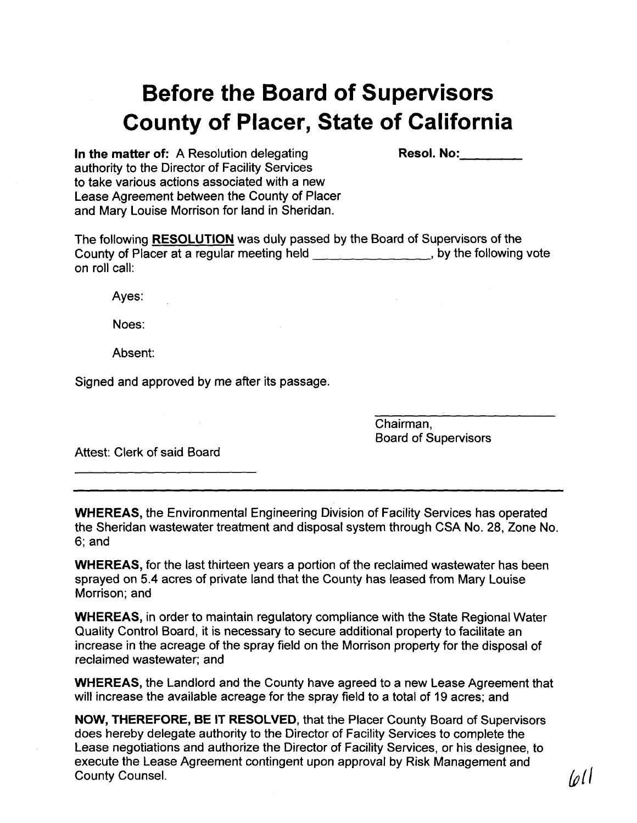# **Before the Board of Supervisors County of Placer, State of California**

**In the matter of:** A Resolution delegating Resol. No: authority to the Director of Facility Services to take various actions associated with a new Lease Agreement between the County of Placer and Mary Louise Morrison for land in Sheridan.

The following RESOLUTION was duly passed by the Board of Supervisors of the County of Placer at a regular meeting held  $\mu$ ,  $\mu$ ,  $\mu$ ,  $\mu$ , by the following vote on roll call:

Ayes:

Noes:

Absent:

Signed and approved by me after its passage.

Chairman, Board of Supervisors

Attest: Clerk of said Board

WHEREAS, the Environmental Engineering Division of Facility Services has operated the Sheridan wastewater treatment and disposal system through CSA No. 28, Zone No. 6; and

WHEREAS, for the last thirteen years a portion of the reclaimed wastewater has been sprayed on **5.4** acres of private land that the County has leased from Mary Louise Morrison; and

WHEREAS, in order to maintain regulatory compliance with the State Regional Water Quality Control Board, it is necessary to secure additional property to facilitate an increase in the acreage of the spray field on the Morrison property for the disposal of reclaimed wastewater; and

WHEREAS, the Landlord and the County have agreed to a new Lease Agreement that will increase the available acreage for the spray field to a total of 19 acres; and

NOW, THEREFORE, BE IT RESOLVED, that the Placer County Board of Supervisors does hereby delegate authority to the Director of Facility Services to complete the Lease negotiations and authorize the Director of Facility Services, or his designee, to execute the Lease Agreement contingent upon approval by Risk Management and County Counsel.  $\omega$